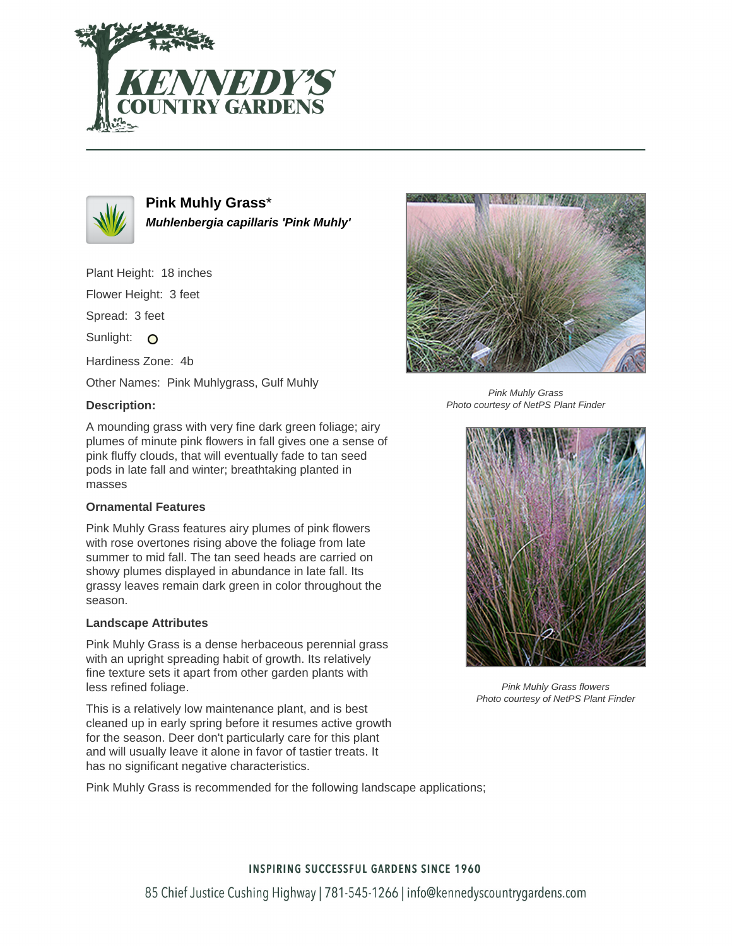



**Pink Muhly Grass**\* **Muhlenbergia capillaris 'Pink Muhly'**

Plant Height: 18 inches

Flower Height: 3 feet

Spread: 3 feet

Sunlight: O

Hardiness Zone: 4b

Other Names: Pink Muhlygrass, Gulf Muhly

### **Description:**



Pink Muhly Grass Photo courtesy of NetPS Plant Finder

A mounding grass with very fine dark green foliage; airy plumes of minute pink flowers in fall gives one a sense of pink fluffy clouds, that will eventually fade to tan seed pods in late fall and winter; breathtaking planted in masses

#### **Ornamental Features**

Pink Muhly Grass features airy plumes of pink flowers with rose overtones rising above the foliage from late summer to mid fall. The tan seed heads are carried on showy plumes displayed in abundance in late fall. Its grassy leaves remain dark green in color throughout the season.

#### **Landscape Attributes**

Pink Muhly Grass is a dense herbaceous perennial grass with an upright spreading habit of growth. Its relatively fine texture sets it apart from other garden plants with less refined foliage.

This is a relatively low maintenance plant, and is best cleaned up in early spring before it resumes active growth for the season. Deer don't particularly care for this plant and will usually leave it alone in favor of tastier treats. It has no significant negative characteristics.

Pink Muhly Grass is recommended for the following landscape applications;



Pink Muhly Grass flowers Photo courtesy of NetPS Plant Finder

## **INSPIRING SUCCESSFUL GARDENS SINCE 1960**

85 Chief Justice Cushing Highway | 781-545-1266 | info@kennedyscountrygardens.com